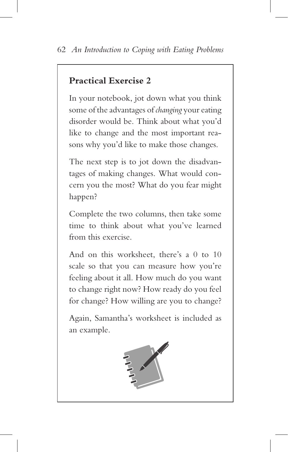## **Practical Exercise 2**

In your notebook, jot down what you think some of the advantages of *changing* your eating disorder would be. Think about what you'd like to change and the most important reasons why you'd like to make those changes.

The next step is to jot down the disadvantages of making changes. What would concern you the most? What do you fear might happen?

Complete the two columns, then take some time to think about what you've learned from this exercise.

And on this worksheet, there's a 0 to 10 scale so that you can measure how you're feeling about it all. How much do you want to change right now? How ready do you feel for change? How willing are you to change?

Again, Samantha's worksheet is included as an example.

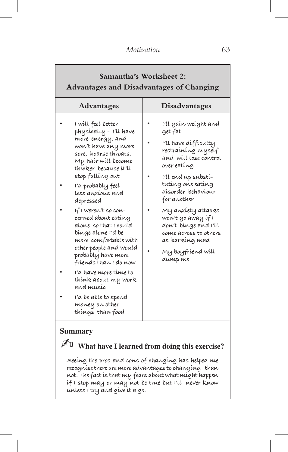## **Samantha's Worksheet 2:**

## **Advantages and Disadvantages of Changing**

| <b>Advantages</b>                                                                                                                                                                                                                                                                                                                                                                                                                                                                                                                                                     | <b>Disadvantages</b>                                                                                                                                                                                                                                                                                                                                   |  |  |  |  |
|-----------------------------------------------------------------------------------------------------------------------------------------------------------------------------------------------------------------------------------------------------------------------------------------------------------------------------------------------------------------------------------------------------------------------------------------------------------------------------------------------------------------------------------------------------------------------|--------------------------------------------------------------------------------------------------------------------------------------------------------------------------------------------------------------------------------------------------------------------------------------------------------------------------------------------------------|--|--|--|--|
| I will feel better<br>physícally - I'll have<br>more energy, and<br>won't have any more<br>sore, hoarse throats.<br>Mỵ haír wíll become<br>thícker because ít′ll<br>stop fallíng out<br>I'd probably feel<br>less anxíous and<br>depressed<br>If I weren't so con-<br>cerned about eating<br>alone so that I could<br>bínge alone 1'd be<br>more comfortable with<br>other people and would<br>probably have more<br>fríends than I do now<br>i'd have more time to<br>thínk about my work<br>and musíc<br>I'd be able to spend<br>money on other<br>things than food | I'll gaín weíght and<br>get fat<br>I'll have difficulty<br>restraíníng myself<br>and will lose control<br>over eating<br>I'll end up substi-<br>tutíng one eatíng<br>dísorder behavíour<br>for another<br>My anxiety attacks<br>won't go away if I<br>don't bínge and I'll<br>come across to others<br>as barkíng mad<br>My boyfríend wíll<br>dunip me |  |  |  |  |

## **Summary**

✍ **What have I learned from doing this exercise?**

**Seeing the pros and cons of changing has helped me recognisethere are more advantages to changing than not. The fact is that my fears about what might happen if I stop may or may not be true but I'll never know unless I try and give it a go.**